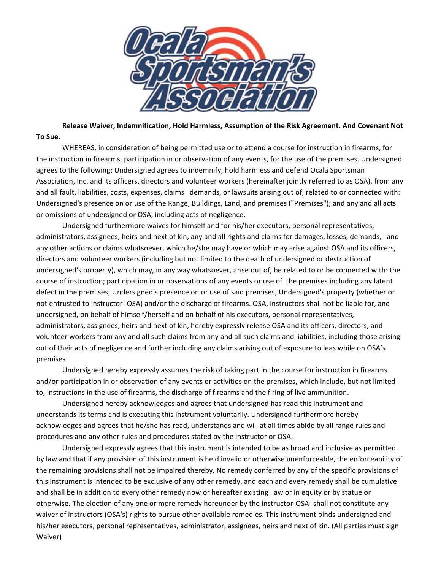

Release Waiver, Indemnification, Hold Harmless, Assumption of the Risk Agreement. And Covenant Not **To Sue.**

WHEREAS, in consideration of being permitted use or to attend a course for instruction in firearms, for the instruction in firearms, participation in or observation of any events, for the use of the premises. Undersigned agrees to the following: Undersigned agrees to indemnify, hold harmless and defend Ocala Sportsman Association, Inc. and its officers, directors and volunteer workers (hereinafter jointly referred to as OSA), from any and all fault, liabilities, costs, expenses, claims demands, or lawsuits arising out of, related to or connected with: Undersigned's presence on or use of the Range, Buildings, Land, and premises ("Premises"); and any and all acts or omissions of undersigned or OSA, including acts of negligence.

Undersigned furthermore waives for himself and for his/her executors, personal representatives, administrators, assignees, heirs and next of kin, any and all rights and claims for damages, losses, demands, and any other actions or claims whatsoever, which he/she may have or which may arise against OSA and its officers, directors and volunteer workers (including but not limited to the death of undersigned or destruction of undersigned's property), which may, in any way whatsoever, arise out of, be related to or be connected with: the course of instruction; participation in or observations of any events or use of the premises including any latent defect in the premises; Undersigned's presence on or use of said premises; Undersigned's property (whether or not entrusted to instructor- OSA) and/or the discharge of firearms. OSA, instructors shall not be liable for, and undersigned, on behalf of himself/herself and on behalf of his executors, personal representatives, administrators, assignees, heirs and next of kin, hereby expressly release OSA and its officers, directors, and volunteer workers from any and all such claims from any and all such claims and liabilities, including those arising out of their acts of negligence and further including any claims arising out of exposure to leas while on OSA's premises. 

Undersigned hereby expressly assumes the risk of taking part in the course for instruction in firearms and/or participation in or observation of any events or activities on the premises, which include, but not limited to, instructions in the use of firearms, the discharge of firearms and the firing of live ammunition.

Undersigned hereby acknowledges and agrees that undersigned has read this instrument and understands its terms and is executing this instrument voluntarily. Undersigned furthermore hereby acknowledges and agrees that he/she has read, understands and will at all times abide by all range rules and procedures and any other rules and procedures stated by the instructor or OSA.

Undersigned expressly agrees that this instrument is intended to be as broad and inclusive as permitted by law and that if any provision of this instrument is held invalid or otherwise unenforceable, the enforceability of the remaining provisions shall not be impaired thereby. No remedy conferred by any of the specific provisions of this instrument is intended to be exclusive of any other remedy, and each and every remedy shall be cumulative and shall be in addition to every other remedy now or hereafter existing law or in equity or by statue or otherwise. The election of any one or more remedy hereunder by the instructor-OSA- shall not constitute any waiver of instructors (OSA's) rights to pursue other available remedies. This instrument binds undersigned and his/her executors, personal representatives, administrator, assignees, heirs and next of kin. (All parties must sign Waiver)